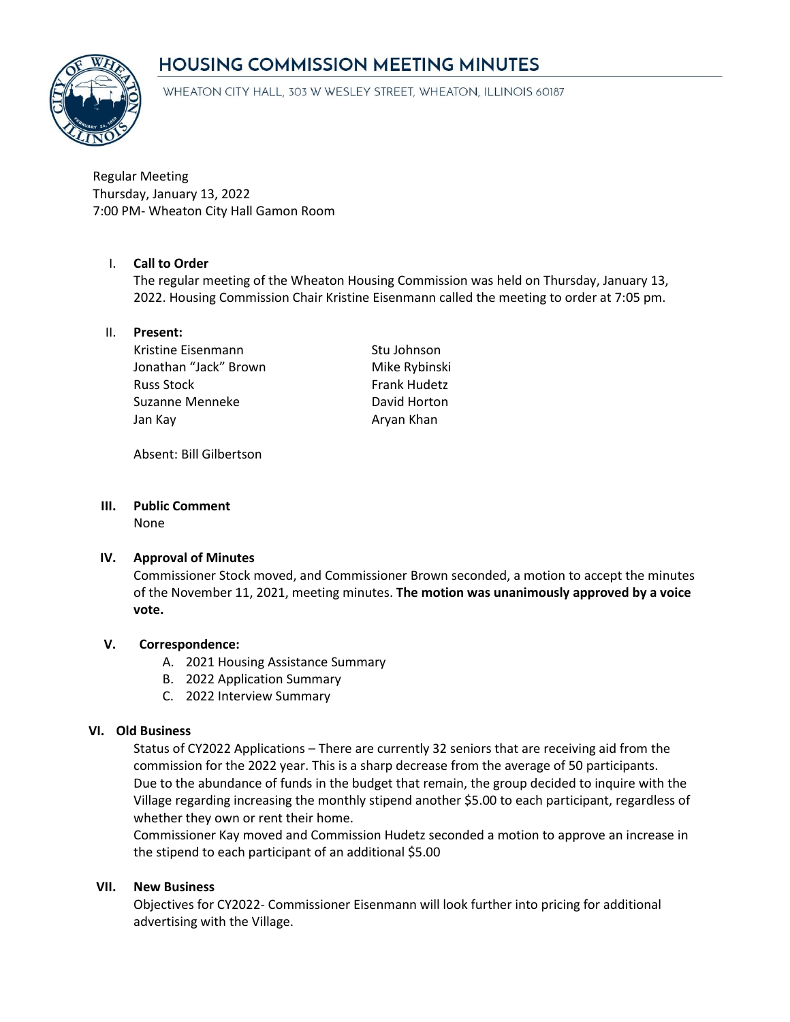# **HOUSING COMMISSION MEETING MINUTES**



WHEATON CITY HALL, 303 W WESLEY STREET, WHEATON, ILLINOIS 60187

Regular Meeting Thursday, January 13, 2022 7:00 PM- Wheaton City Hall Gamon Room

## I. **Call to Order**

The regular meeting of the Wheaton Housing Commission was held on Thursday, January 13, 2022. Housing Commission Chair Kristine Eisenmann called the meeting to order at 7:05 pm.

### II. **Present:**

Kristine Eisenmann Stu Johnson Jonathan "Jack" Brown Mike Rybinski Russ Stock **Frank Hudetz** Suzanne Menneke David Horton Jan Kay **Aryan Khan** 

Absent: Bill Gilbertson

# **III. Public Comment**

None

#### **IV. Approval of Minutes**

Commissioner Stock moved, and Commissioner Brown seconded, a motion to accept the minutes of the November 11, 2021, meeting minutes. **The motion was unanimously approved by a voice vote.**

#### **V. Correspondence:**

- A. 2021 Housing Assistance Summary
- B. 2022 Application Summary
- C. 2022 Interview Summary

#### **VI. Old Business**

Status of CY2022 Applications – There are currently 32 seniors that are receiving aid from the commission for the 2022 year. This is a sharp decrease from the average of 50 participants. Due to the abundance of funds in the budget that remain, the group decided to inquire with the Village regarding increasing the monthly stipend another \$5.00 to each participant, regardless of whether they own or rent their home.

Commissioner Kay moved and Commission Hudetz seconded a motion to approve an increase in the stipend to each participant of an additional \$5.00

#### **VII. New Business**

Objectives for CY2022- Commissioner Eisenmann will look further into pricing for additional advertising with the Village.